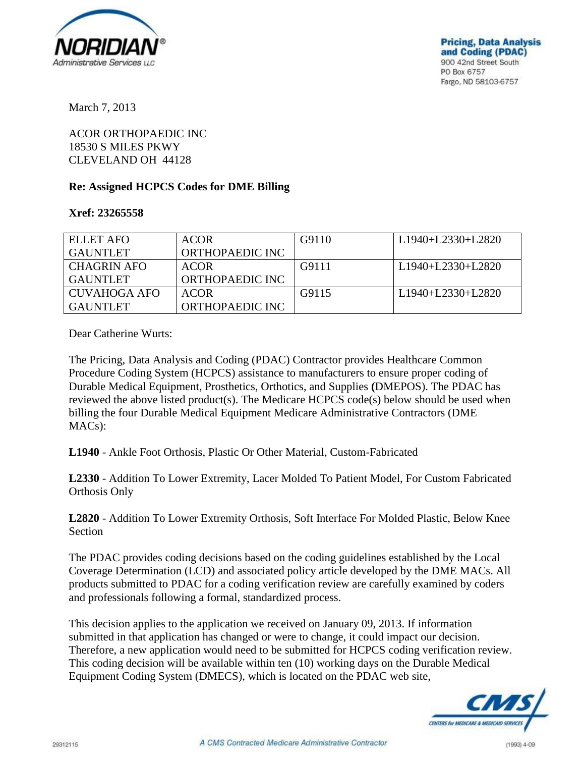

March 7, 2013

ACOR ORTHOPAEDIC INC 18530 S MILES PKWY CLEVELAND OH 44128

## **Re: Assigned HCPCS Codes for DME Billing**

## **Xref: 23265558**

| ELLET AFO       | <b>ACOR</b>     | G9110 | L <sub>1940</sub> +L <sub>2330</sub> +L <sub>2820</sub> |
|-----------------|-----------------|-------|---------------------------------------------------------|
| <b>GAUNTLET</b> | ORTHOPAEDIC INC |       |                                                         |
| CHAGRIN AFO     | <b>ACOR</b>     | G9111 | L1940+L2330+L2820                                       |
| <b>GAUNTLET</b> | ORTHOPAEDIC INC |       |                                                         |
| CUVAHOGA AFO    | <b>ACOR</b>     | G9115 | L <sub>1940</sub> +L <sub>2330</sub> +L <sub>2820</sub> |
| <b>GAUNTLET</b> | ORTHOPAEDIC INC |       |                                                         |

Dear Catherine Wurts:

The Pricing, Data Analysis and Coding (PDAC) Contractor provides Healthcare Common Procedure Coding System (HCPCS) assistance to manufacturers to ensure proper coding of Durable Medical Equipment, Prosthetics, Orthotics, and Supplies **(**DMEPOS). The PDAC has reviewed the above listed product(s). The Medicare HCPCS code(s) below should be used when billing the four Durable Medical Equipment Medicare Administrative Contractors (DME MACs):

**L1940** - Ankle Foot Orthosis, Plastic Or Other Material, Custom-Fabricated

**L2330** - Addition To Lower Extremity, Lacer Molded To Patient Model, For Custom Fabricated Orthosis Only

**L2820** - Addition To Lower Extremity Orthosis, Soft Interface For Molded Plastic, Below Knee Section

The PDAC provides coding decisions based on the coding guidelines established by the Local Coverage Determination (LCD) and associated policy article developed by the DME MACs. All products submitted to PDAC for a coding verification review are carefully examined by coders and professionals following a formal, standardized process.

This decision applies to the application we received on January 09, 2013. If information submitted in that application has changed or were to change, it could impact our decision. Therefore, a new application would need to be submitted for HCPCS coding verification review. This coding decision will be available within ten (10) working days on the Durable Medical Equipment Coding System (DMECS), which is located on the PDAC web site,